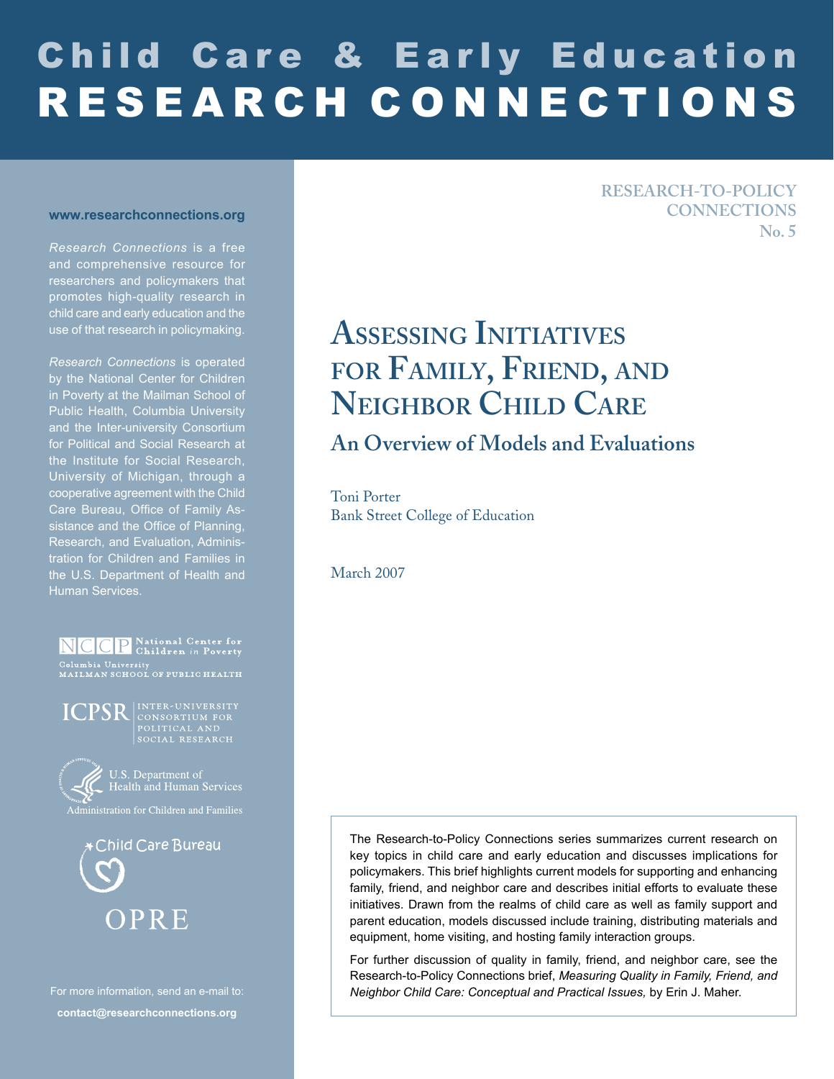# Child Care & Early Education R E S E A R C H C O N N E C T I O N S

#### **www.researchconnections.org**

*Research Connections* is a free and comprehensive resource for researchers and policymakers that promotes high-quality research in child care and early education and the use of that research in policymaking.

*Research Connections* is operated by the National Center for Children in Poverty at the Mailman School of Public Health, Columbia University and the Inter-university Consortium for Political and Social Research at the Institute for Social Research, University of Michigan, through a cooperative agreement with the Child Care Bureau, Office of Family Assistance and the Office of Planning, Research, and Evaluation, Administration for Children and Families in the U.S. Department of Health and Human Services.

NCCP National Center for Columbia University<br>MAILMAN SCHOOL OF PUBLIC HEALTH





U.S. Department of<br>K Health and Human Services

Administration for Children and Families



For more information, send an e-mail to: **contact@researchconnections.org**

#### **RESEARCH-TO-POLICY CONNECTIONS No. 5**

# **ASSESSING INITIATIVES FOR FAMILY, FRIEND, AND NEIGHBOR CHILD CARE**

# **An Overview of Models and Evaluations**

Toni Porter Bank Street College of Education

March 2007

The Research-to-Policy Connections series summarizes current research on key topics in child care and early education and discusses implications for policymakers. This brief highlights current models for supporting and enhancing family, friend, and neighbor care and describes initial efforts to evaluate these initiatives. Drawn from the realms of child care as well as family support and parent education, models discussed include training, distributing materials and equipment, home visiting, and hosting family interaction groups.

For further discussion of quality in family, friend, and neighbor care, see the Research-to-Policy Connections brief, *Measuring Quality in Family, Friend, and Neighbor Child Care: Conceptual and Practical Issues,* by Erin J. Maher.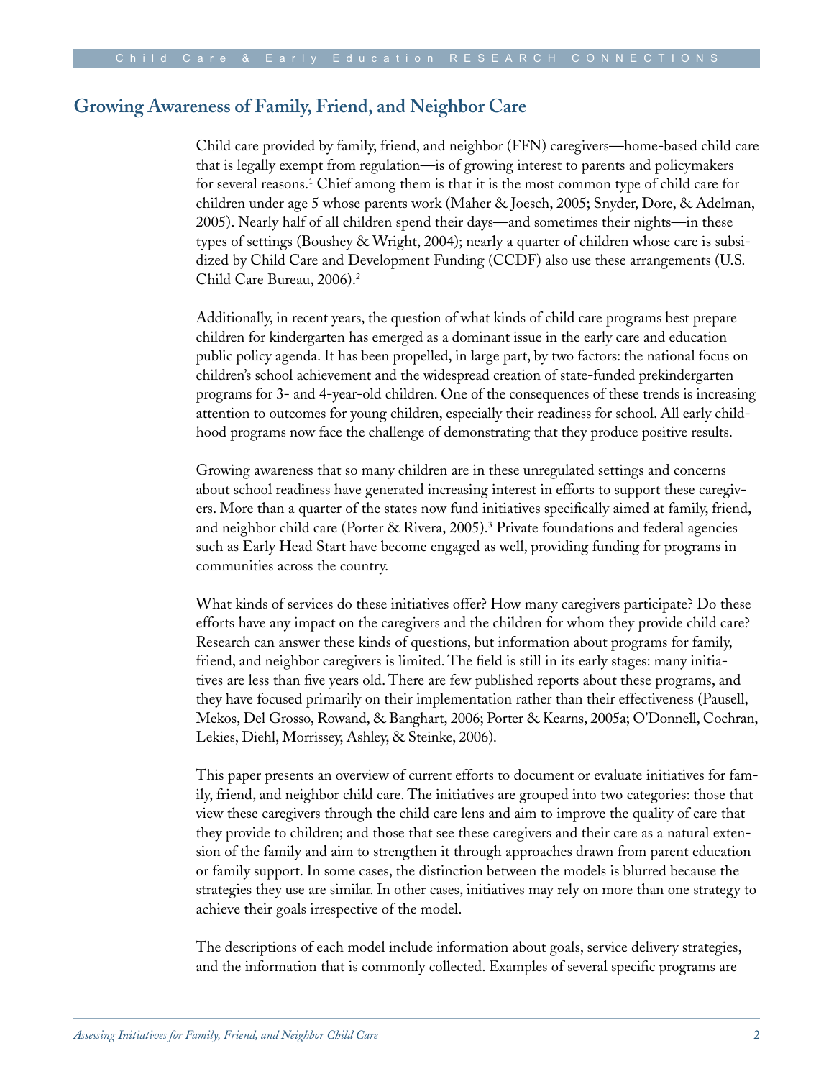## **Growing Awareness of Family, Friend, and Neighbor Care**

Child care provided by family, friend, and neighbor (FFN) caregivers—home-based child care that is legally exempt from regulation—is of growing interest to parents and policymakers for several reasons.1 Chief among them is that it is the most common type of child care for children under age 5 whose parents work (Maher & Joesch, 2005; Snyder, Dore, & Adelman, 2005). Nearly half of all children spend their days—and sometimes their nights—in these types of settings (Boushey & Wright, 2004); nearly a quarter of children whose care is subsidized by Child Care and Development Funding (CCDF) also use these arrangements (U.S. Child Care Bureau, 2006).<sup>2</sup>

Additionally, in recent years, the question of what kinds of child care programs best prepare children for kindergarten has emerged as a dominant issue in the early care and education public policy agenda. It has been propelled, in large part, by two factors: the national focus on children's school achievement and the widespread creation of state-funded prekindergarten programs for 3- and 4-year-old children. One of the consequences of these trends is increasing attention to outcomes for young children, especially their readiness for school. All early childhood programs now face the challenge of demonstrating that they produce positive results.

Growing awareness that so many children are in these unregulated settings and concerns about school readiness have generated increasing interest in efforts to support these caregivers. More than a quarter of the states now fund initiatives specifically aimed at family, friend, and neighbor child care (Porter & Rivera, 2005).3 Private foundations and federal agencies such as Early Head Start have become engaged as well, providing funding for programs in communities across the country.

What kinds of services do these initiatives offer? How many caregivers participate? Do these efforts have any impact on the caregivers and the children for whom they provide child care? Research can answer these kinds of questions, but information about programs for family, friend, and neighbor caregivers is limited. The field is still in its early stages: many initiatives are less than five years old. There are few published reports about these programs, and they have focused primarily on their implementation rather than their effectiveness (Pausell, Mekos, Del Grosso, Rowand, & Banghart, 2006; Porter & Kearns, 2005a; O'Donnell, Cochran, Lekies, Diehl, Morrissey, Ashley, & Steinke, 2006).

This paper presents an overview of current efforts to document or evaluate initiatives for family, friend, and neighbor child care. The initiatives are grouped into two categories: those that view these caregivers through the child care lens and aim to improve the quality of care that they provide to children; and those that see these caregivers and their care as a natural extension of the family and aim to strengthen it through approaches drawn from parent education or family support. In some cases, the distinction between the models is blurred because the strategies they use are similar. In other cases, initiatives may rely on more than one strategy to achieve their goals irrespective of the model.

The descriptions of each model include information about goals, service delivery strategies, and the information that is commonly collected. Examples of several specific programs are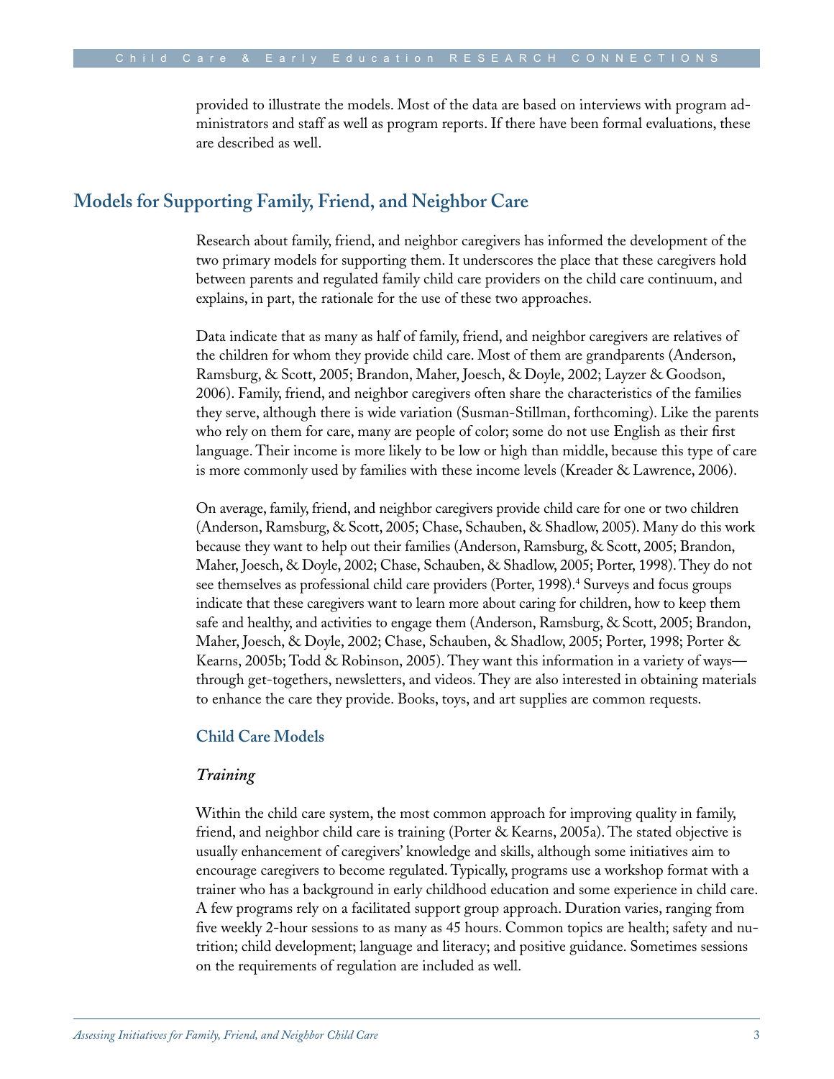provided to illustrate the models. Most of the data are based on interviews with program administrators and staff as well as program reports. If there have been formal evaluations, these are described as well.

### **Models for Supporting Family, Friend, and Neighbor Care**

Research about family, friend, and neighbor caregivers has informed the development of the two primary models for supporting them. It underscores the place that these caregivers hold between parents and regulated family child care providers on the child care continuum, and explains, in part, the rationale for the use of these two approaches.

Data indicate that as many as half of family, friend, and neighbor caregivers are relatives of the children for whom they provide child care. Most of them are grandparents (Anderson, Ramsburg, & Scott, 2005; Brandon, Maher, Joesch, & Doyle, 2002; Layzer & Goodson, 2006). Family, friend, and neighbor caregivers often share the characteristics of the families they serve, although there is wide variation (Susman-Stillman, forthcoming). Like the parents who rely on them for care, many are people of color; some do not use English as their first language. Their income is more likely to be low or high than middle, because this type of care is more commonly used by families with these income levels (Kreader & Lawrence, 2006).

On average, family, friend, and neighbor caregivers provide child care for one or two children (Anderson, Ramsburg, & Scott, 2005; Chase, Schauben, & Shadlow, 2005). Many do this work because they want to help out their families (Anderson, Ramsburg, & Scott, 2005; Brandon, Maher, Joesch, & Doyle, 2002; Chase, Schauben, & Shadlow, 2005; Porter, 1998). They do not see themselves as professional child care providers (Porter, 1998).<sup>4</sup> Surveys and focus groups indicate that these caregivers want to learn more about caring for children, how to keep them safe and healthy, and activities to engage them (Anderson, Ramsburg, & Scott, 2005; Brandon, Maher, Joesch, & Doyle, 2002; Chase, Schauben, & Shadlow, 2005; Porter, 1998; Porter & Kearns, 2005b; Todd & Robinson, 2005). They want this information in a variety of ways through get-togethers, newsletters, and videos. They are also interested in obtaining materials to enhance the care they provide. Books, toys, and art supplies are common requests.

#### **Child Care Models**

#### *Training*

Within the child care system, the most common approach for improving quality in family, friend, and neighbor child care is training (Porter & Kearns, 2005a). The stated objective is usually enhancement of caregivers' knowledge and skills, although some initiatives aim to encourage caregivers to become regulated. Typically, programs use a workshop format with a trainer who has a background in early childhood education and some experience in child care. A few programs rely on a facilitated support group approach. Duration varies, ranging from five weekly 2-hour sessions to as many as 45 hours. Common topics are health; safety and nutrition; child development; language and literacy; and positive guidance. Sometimes sessions on the requirements of regulation are included as well.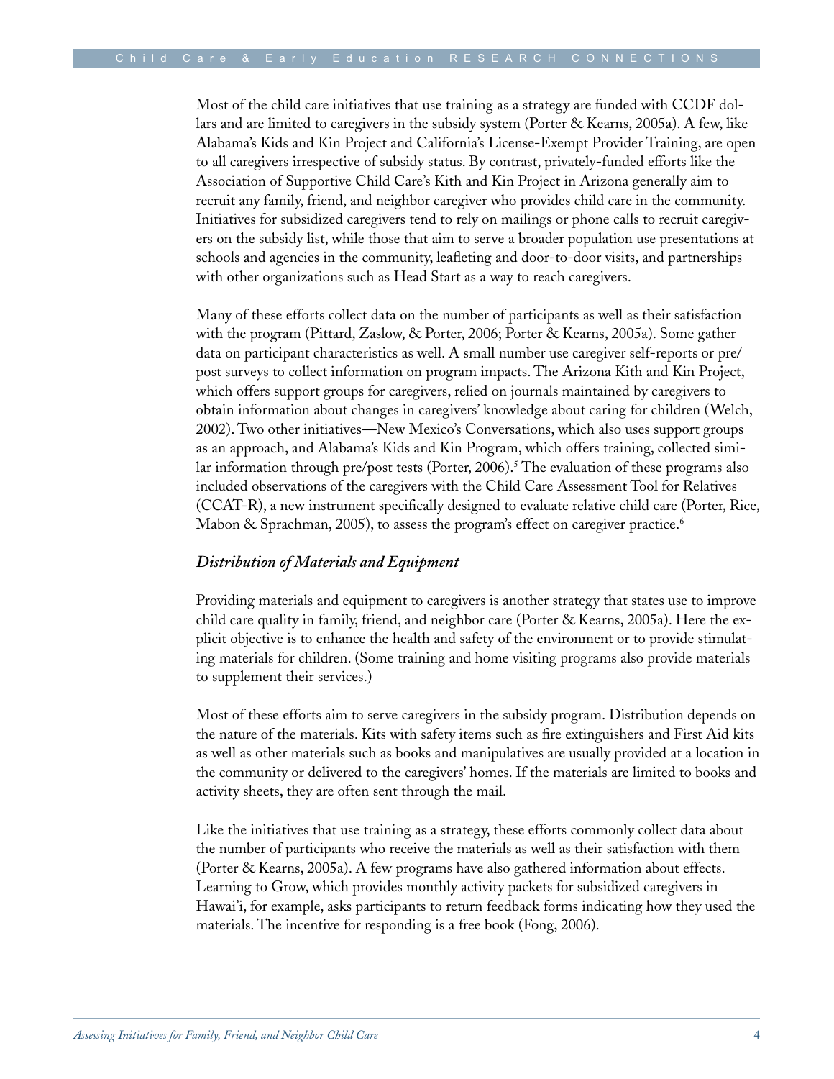Most of the child care initiatives that use training as a strategy are funded with CCDF dollars and are limited to caregivers in the subsidy system (Porter & Kearns, 2005a). A few, like Alabama's Kids and Kin Project and California's License-Exempt Provider Training, are open to all caregivers irrespective of subsidy status. By contrast, privately-funded efforts like the Association of Supportive Child Care's Kith and Kin Project in Arizona generally aim to recruit any family, friend, and neighbor caregiver who provides child care in the community. Initiatives for subsidized caregivers tend to rely on mailings or phone calls to recruit caregivers on the subsidy list, while those that aim to serve a broader population use presentations at schools and agencies in the community, leafleting and door-to-door visits, and partnerships with other organizations such as Head Start as a way to reach caregivers.

Many of these efforts collect data on the number of participants as well as their satisfaction with the program (Pittard, Zaslow, & Porter, 2006; Porter & Kearns, 2005a). Some gather data on participant characteristics as well. A small number use caregiver self-reports or pre/ post surveys to collect information on program impacts. The Arizona Kith and Kin Project, which offers support groups for caregivers, relied on journals maintained by caregivers to obtain information about changes in caregivers' knowledge about caring for children (Welch, 2002). Two other initiatives—New Mexico's Conversations, which also uses support groups as an approach, and Alabama's Kids and Kin Program, which offers training, collected similar information through pre/post tests (Porter, 2006).<sup>5</sup> The evaluation of these programs also included observations of the caregivers with the Child Care Assessment Tool for Relatives (CCAT-R), a new instrument specifically designed to evaluate relative child care (Porter, Rice, Mabon & Sprachman, 2005), to assess the program's effect on caregiver practice.<sup>6</sup>

#### *Distribution of Materials and Equipment*

Providing materials and equipment to caregivers is another strategy that states use to improve child care quality in family, friend, and neighbor care (Porter & Kearns, 2005a). Here the explicit objective is to enhance the health and safety of the environment or to provide stimulating materials for children. (Some training and home visiting programs also provide materials to supplement their services.)

Most of these efforts aim to serve caregivers in the subsidy program. Distribution depends on the nature of the materials. Kits with safety items such as fire extinguishers and First Aid kits as well as other materials such as books and manipulatives are usually provided at a location in the community or delivered to the caregivers' homes. If the materials are limited to books and activity sheets, they are often sent through the mail.

Like the initiatives that use training as a strategy, these efforts commonly collect data about the number of participants who receive the materials as well as their satisfaction with them (Porter & Kearns, 2005a). A few programs have also gathered information about effects. Learning to Grow, which provides monthly activity packets for subsidized caregivers in Hawai'i, for example, asks participants to return feedback forms indicating how they used the materials. The incentive for responding is a free book (Fong, 2006).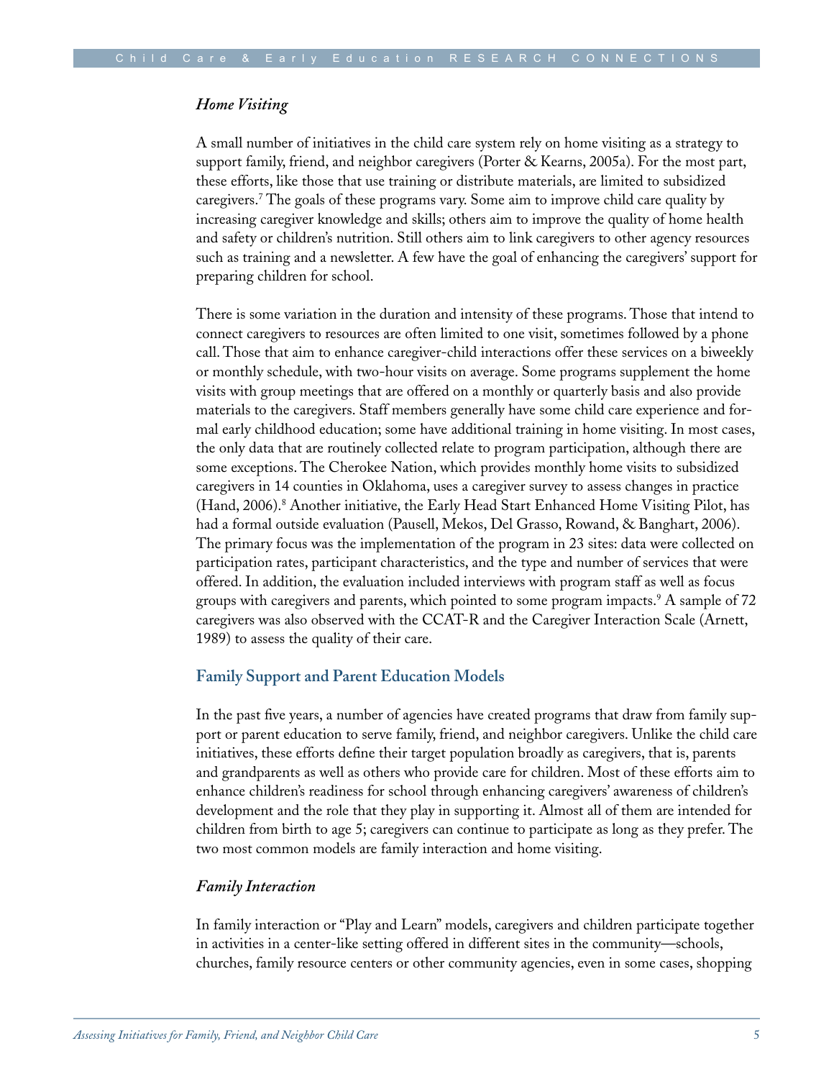#### *Home Visiting*

A small number of initiatives in the child care system rely on home visiting as a strategy to support family, friend, and neighbor caregivers (Porter & Kearns, 2005a). For the most part, these efforts, like those that use training or distribute materials, are limited to subsidized caregivers.7 The goals of these programs vary. Some aim to improve child care quality by increasing caregiver knowledge and skills; others aim to improve the quality of home health and safety or children's nutrition. Still others aim to link caregivers to other agency resources such as training and a newsletter. A few have the goal of enhancing the caregivers' support for preparing children for school.

There is some variation in the duration and intensity of these programs. Those that intend to connect caregivers to resources are often limited to one visit, sometimes followed by a phone call. Those that aim to enhance caregiver-child interactions offer these services on a biweekly or monthly schedule, with two-hour visits on average. Some programs supplement the home visits with group meetings that are offered on a monthly or quarterly basis and also provide materials to the caregivers. Staff members generally have some child care experience and formal early childhood education; some have additional training in home visiting. In most cases, the only data that are routinely collected relate to program participation, although there are some exceptions. The Cherokee Nation, which provides monthly home visits to subsidized caregivers in 14 counties in Oklahoma, uses a caregiver survey to assess changes in practice (Hand, 2006).<sup>8</sup> Another initiative, the Early Head Start Enhanced Home Visiting Pilot, has had a formal outside evaluation (Pausell, Mekos, Del Grasso, Rowand, & Banghart, 2006). The primary focus was the implementation of the program in 23 sites: data were collected on participation rates, participant characteristics, and the type and number of services that were offered. In addition, the evaluation included interviews with program staff as well as focus groups with caregivers and parents, which pointed to some program impacts.9 A sample of 72 caregivers was also observed with the CCAT-R and the Caregiver Interaction Scale (Arnett, 1989) to assess the quality of their care.

#### **Family Support and Parent Education Models**

In the past five years, a number of agencies have created programs that draw from family support or parent education to serve family, friend, and neighbor caregivers. Unlike the child care initiatives, these efforts define their target population broadly as caregivers, that is, parents and grandparents as well as others who provide care for children. Most of these efforts aim to enhance children's readiness for school through enhancing caregivers' awareness of children's development and the role that they play in supporting it. Almost all of them are intended for children from birth to age 5; caregivers can continue to participate as long as they prefer. The two most common models are family interaction and home visiting.

#### *Family Interaction*

In family interaction or "Play and Learn" models, caregivers and children participate together in activities in a center-like setting offered in different sites in the community—schools, churches, family resource centers or other community agencies, even in some cases, shopping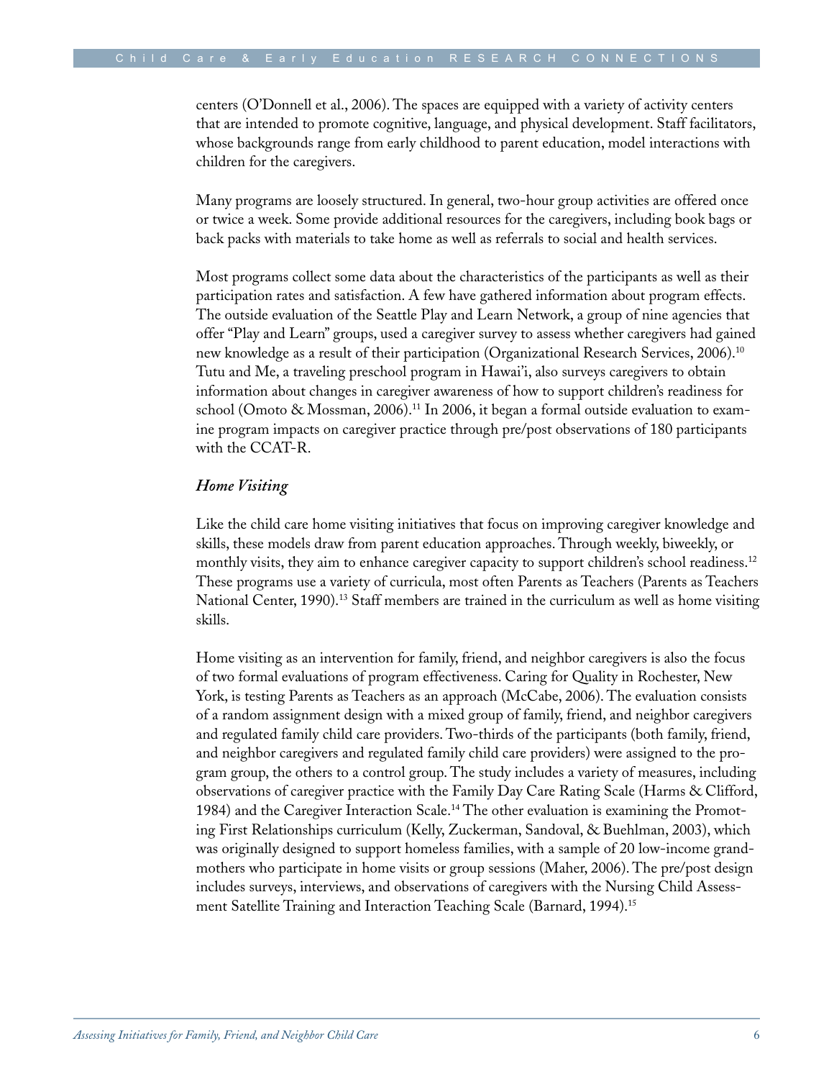centers (O'Donnell et al., 2006). The spaces are equipped with a variety of activity centers that are intended to promote cognitive, language, and physical development. Staff facilitators, whose backgrounds range from early childhood to parent education, model interactions with children for the caregivers.

Many programs are loosely structured. In general, two-hour group activities are offered once or twice a week. Some provide additional resources for the caregivers, including book bags or back packs with materials to take home as well as referrals to social and health services.

Most programs collect some data about the characteristics of the participants as well as their participation rates and satisfaction. A few have gathered information about program effects. The outside evaluation of the Seattle Play and Learn Network, a group of nine agencies that offer "Play and Learn" groups, used a caregiver survey to assess whether caregivers had gained new knowledge as a result of their participation (Organizational Research Services, 2006).10 Tutu and Me, a traveling preschool program in Hawai'i, also surveys caregivers to obtain information about changes in caregiver awareness of how to support children's readiness for school (Omoto & Mossman, 2006).<sup>11</sup> In 2006, it began a formal outside evaluation to examine program impacts on caregiver practice through pre/post observations of 180 participants with the CCAT-R.

#### *Home Visiting*

Like the child care home visiting initiatives that focus on improving caregiver knowledge and skills, these models draw from parent education approaches. Through weekly, biweekly, or monthly visits, they aim to enhance caregiver capacity to support children's school readiness.<sup>12</sup> These programs use a variety of curricula, most often Parents as Teachers (Parents as Teachers National Center, 1990).<sup>13</sup> Staff members are trained in the curriculum as well as home visiting skills.

Home visiting as an intervention for family, friend, and neighbor caregivers is also the focus of two formal evaluations of program effectiveness. Caring for Quality in Rochester, New York, is testing Parents as Teachers as an approach (McCabe, 2006). The evaluation consists of a random assignment design with a mixed group of family, friend, and neighbor caregivers and regulated family child care providers. Two-thirds of the participants (both family, friend, and neighbor caregivers and regulated family child care providers) were assigned to the program group, the others to a control group. The study includes a variety of measures, including observations of caregiver practice with the Family Day Care Rating Scale (Harms & Clifford, 1984) and the Caregiver Interaction Scale.14 The other evaluation is examining the Promoting First Relationships curriculum (Kelly, Zuckerman, Sandoval, & Buehlman, 2003), which was originally designed to support homeless families, with a sample of 20 low-income grandmothers who participate in home visits or group sessions (Maher, 2006). The pre/post design includes surveys, interviews, and observations of caregivers with the Nursing Child Assessment Satellite Training and Interaction Teaching Scale (Barnard, 1994).15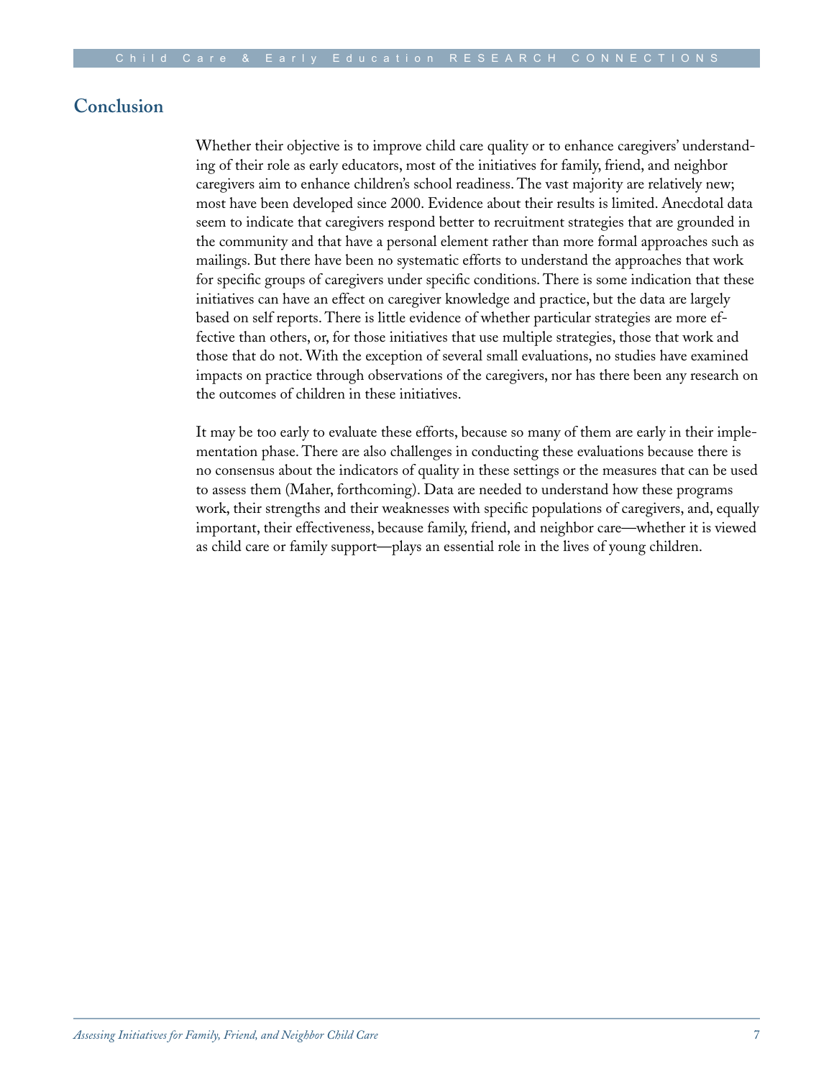#### **Conclusion**

Whether their objective is to improve child care quality or to enhance caregivers' understanding of their role as early educators, most of the initiatives for family, friend, and neighbor caregivers aim to enhance children's school readiness. The vast majority are relatively new; most have been developed since 2000. Evidence about their results is limited. Anecdotal data seem to indicate that caregivers respond better to recruitment strategies that are grounded in the community and that have a personal element rather than more formal approaches such as mailings. But there have been no systematic efforts to understand the approaches that work for specific groups of caregivers under specific conditions. There is some indication that these initiatives can have an effect on caregiver knowledge and practice, but the data are largely based on self reports. There is little evidence of whether particular strategies are more effective than others, or, for those initiatives that use multiple strategies, those that work and those that do not. With the exception of several small evaluations, no studies have examined impacts on practice through observations of the caregivers, nor has there been any research on the outcomes of children in these initiatives.

It may be too early to evaluate these efforts, because so many of them are early in their implementation phase. There are also challenges in conducting these evaluations because there is no consensus about the indicators of quality in these settings or the measures that can be used to assess them (Maher, forthcoming). Data are needed to understand how these programs work, their strengths and their weaknesses with specific populations of caregivers, and, equally important, their effectiveness, because family, friend, and neighbor care—whether it is viewed as child care or family support—plays an essential role in the lives of young children.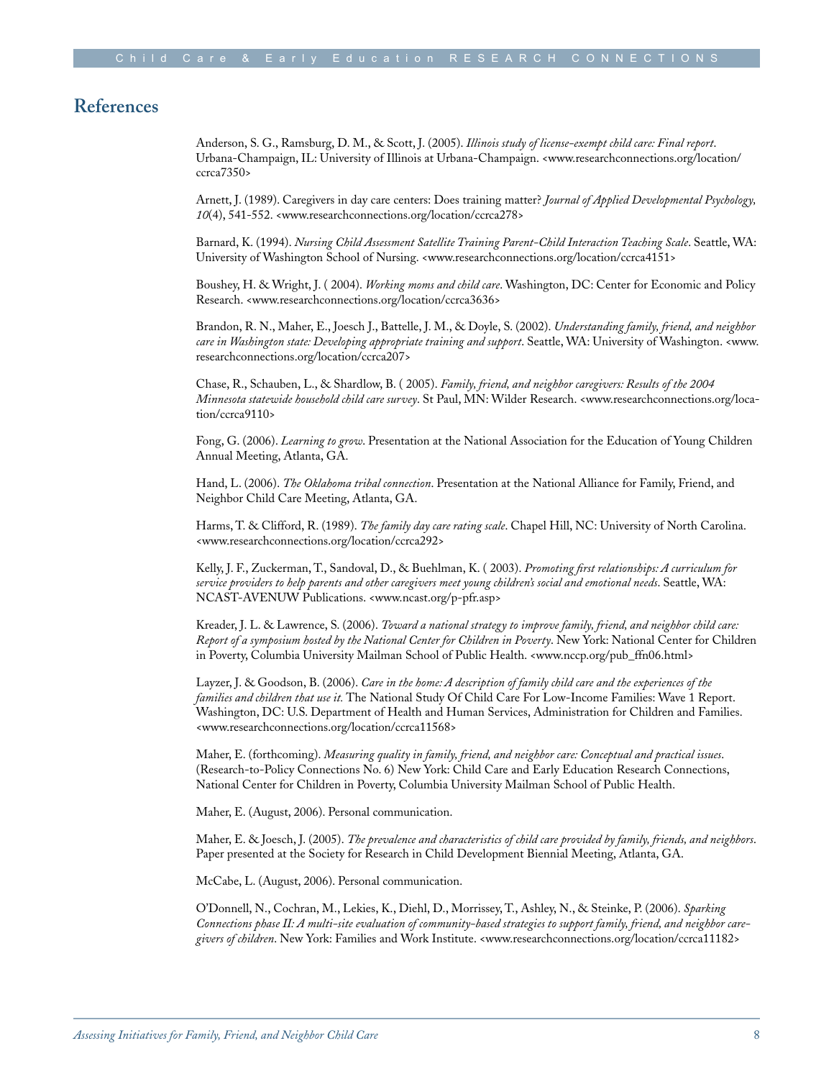#### **References**

Anderson, S. G., Ramsburg, D. M., & Scott, J. (2005). *Illinois study of license-exempt child care: Final report*. Urbana-Champaign, IL: University of Illinois at Urbana-Champaign. <www.researchconnections.org/location/ ccrca7350>

Arnett, J. (1989). Caregivers in day care centers: Does training matter? *Journal of Applied Developmental Psychology, 10*(4), 541-552. <www.researchconnections.org/location/ccrca278>

Barnard, K. (1994). *Nursing Child Assessment Satellite Training Parent-Child Interaction Teaching Scale*. Seattle, WA: University of Washington School of Nursing. <www.researchconnections.org/location/ccrca4151>

Boushey, H. & Wright, J. ( 2004). *Working moms and child care*. Washington, DC: Center for Economic and Policy Research. <www.researchconnections.org/location/ccrca3636>

Brandon, R. N., Maher, E., Joesch J., Battelle, J. M., & Doyle, S. (2002). *Understanding family, friend, and neighbor care in Washington state: Developing appropriate training and support*. Seattle, WA: University of Washington. <www. researchconnections.org/location/ccrca207>

Chase, R., Schauben, L., & Shardlow, B. ( 2005). *Family, friend, and neighbor caregivers: Results of the 2004 Minnesota statewide household child care survey*. St Paul, MN: Wilder Research. <www.researchconnections.org/location/ccrca9110>

Fong, G. (2006). *Learning to grow*. Presentation at the National Association for the Education of Young Children Annual Meeting, Atlanta, GA.

Hand, L. (2006). *The Oklahoma tribal connection*. Presentation at the National Alliance for Family, Friend, and Neighbor Child Care Meeting, Atlanta, GA.

Harms, T. & Clifford, R. (1989). *The family day care rating scale*. Chapel Hill, NC: University of North Carolina. <www.researchconnections.org/location/ccrca292>

Kelly, J. F., Zuckerman, T., Sandoval, D., & Buehlman, K. ( 2003). *Promoting first relationships: A curriculum for service providers to help parents and other caregivers meet young children's social and emotional needs*. Seattle, WA: NCAST-AVENUW Publications. <www.ncast.org/p-pfr.asp>

Kreader, J. L. & Lawrence, S. (2006). *Toward a national strategy to improve family, friend, and neighbor child care: Report of a symposium hosted by the National Center for Children in Poverty*. New York: National Center for Children in Poverty, Columbia University Mailman School of Public Health. <www.nccp.org/pub\_ffn06.html>

Layzer, J. & Goodson, B. (2006). *Care in the home: A description of family child care and the experiences of the families and children that use it.* The National Study Of Child Care For Low-Income Families: Wave 1 Report. Washington, DC: U.S. Department of Health and Human Services, Administration for Children and Families. <www.researchconnections.org/location/ccrca11568>

Maher, E. (forthcoming). *Measuring quality in family, friend, and neighbor care: Conceptual and practical issues*. (Research-to-Policy Connections No. 6) New York: Child Care and Early Education Research Connections, National Center for Children in Poverty, Columbia University Mailman School of Public Health.

Maher, E. (August, 2006). Personal communication.

Maher, E. & Joesch, J. (2005). *The prevalence and characteristics of child care provided by family, friends, and neighbors*. Paper presented at the Society for Research in Child Development Biennial Meeting, Atlanta, GA.

McCabe, L. (August, 2006). Personal communication.

O'Donnell, N., Cochran, M., Lekies, K., Diehl, D., Morrissey, T., Ashley, N., & Steinke, P. (2006). *Sparking Connections phase II: A multi-site evaluation of community-based strategies to support family, friend, and neighbor caregivers of children*. New York: Families and Work Institute. <www.researchconnections.org/location/ccrca11182>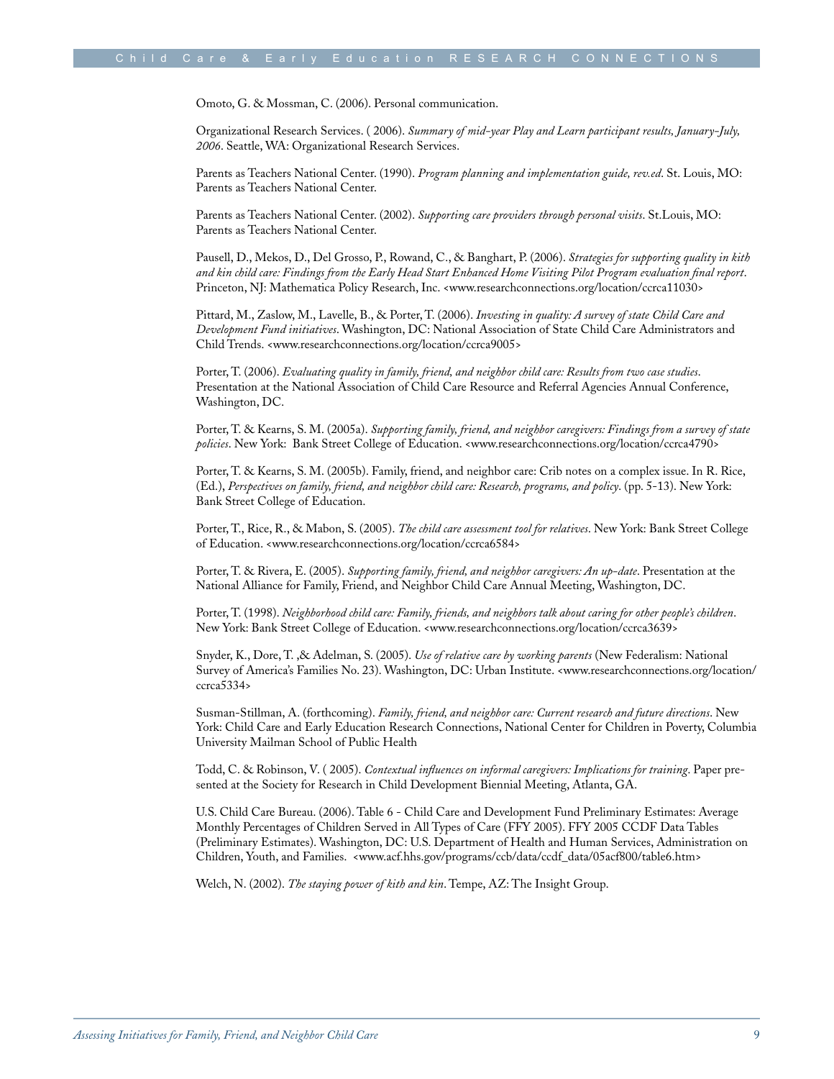Omoto, G. & Mossman, C. (2006). Personal communication.

Organizational Research Services. ( 2006). *Summary of mid-year Play and Learn participant results, January-July, 2006*. Seattle, WA: Organizational Research Services.

Parents as Teachers National Center. (1990). *Program planning and implementation guide, rev.ed*. St. Louis, MO: Parents as Teachers National Center.

Parents as Teachers National Center. (2002). *Supporting care providers through personal visits*. St.Louis, MO: Parents as Teachers National Center.

Pausell, D., Mekos, D., Del Grosso, P., Rowand, C., & Banghart, P. (2006). *Strategies for supporting quality in kith and kin child care: Findings from the Early Head Start Enhanced Home Visiting Pilot Program evaluation final report*. Princeton, NJ: Mathematica Policy Research, Inc. <www.researchconnections.org/location/ccrca11030>

Pittard, M., Zaslow, M., Lavelle, B., & Porter, T. (2006). *Investing in quality: A survey of state Child Care and Development Fund initiatives*. Washington, DC: National Association of State Child Care Administrators and Child Trends. <www.researchconnections.org/location/ccrca9005>

Porter, T. (2006). *Evaluating quality in family, friend, and neighbor child care: Results from two case studies*. Presentation at the National Association of Child Care Resource and Referral Agencies Annual Conference, Washington, DC.

Porter, T. & Kearns, S. M. (2005a). *Supporting family, friend, and neighbor caregivers: Findings from a survey of state policies*. New York: Bank Street College of Education. <www.researchconnections.org/location/ccrca4790>

Porter, T. & Kearns, S. M. (2005b). Family, friend, and neighbor care: Crib notes on a complex issue. In R. Rice, (Ed.), *Perspectives on family, friend, and neighbor child care: Research, programs, and policy*. (pp. 5-13). New York: Bank Street College of Education.

Porter, T., Rice, R., & Mabon, S. (2005). *The child care assessment tool for relatives*. New York: Bank Street College of Education. <www.researchconnections.org/location/ccrca6584>

Porter, T. & Rivera, E. (2005). *Supporting family, friend, and neighbor caregivers: An up-date*. Presentation at the National Alliance for Family, Friend, and Neighbor Child Care Annual Meeting, Washington, DC.

Porter, T. (1998). *Neighborhood child care: Family, friends, and neighbors talk about caring for other people's children*. New York: Bank Street College of Education. <www.researchconnections.org/location/ccrca3639>

Snyder, K., Dore, T. ,& Adelman, S. (2005). *Use of relative care by working parents* (New Federalism: National Survey of America's Families No. 23). Washington, DC: Urban Institute. <www.researchconnections.org/location/ ccrca5334>

Susman-Stillman, A. (forthcoming). *Family, friend, and neighbor care: Current research and future directions*. New York: Child Care and Early Education Research Connections, National Center for Children in Poverty, Columbia University Mailman School of Public Health

Todd, C. & Robinson, V. ( 2005). *Contextual influences on informal caregivers: Implications for training*. Paper presented at the Society for Research in Child Development Biennial Meeting, Atlanta, GA.

U.S. Child Care Bureau. (2006). Table 6 - Child Care and Development Fund Preliminary Estimates: Average Monthly Percentages of Children Served in All Types of Care (FFY 2005). FFY 2005 CCDF Data Tables (Preliminary Estimates). Washington, DC: U.S. Department of Health and Human Services, Administration on Children, Youth, and Families. <www.acf.hhs.gov/programs/ccb/data/ccdf\_data/05acf800/table6.htm>

Welch, N. (2002). *The staying power of kith and kin*. Tempe, AZ: The Insight Group.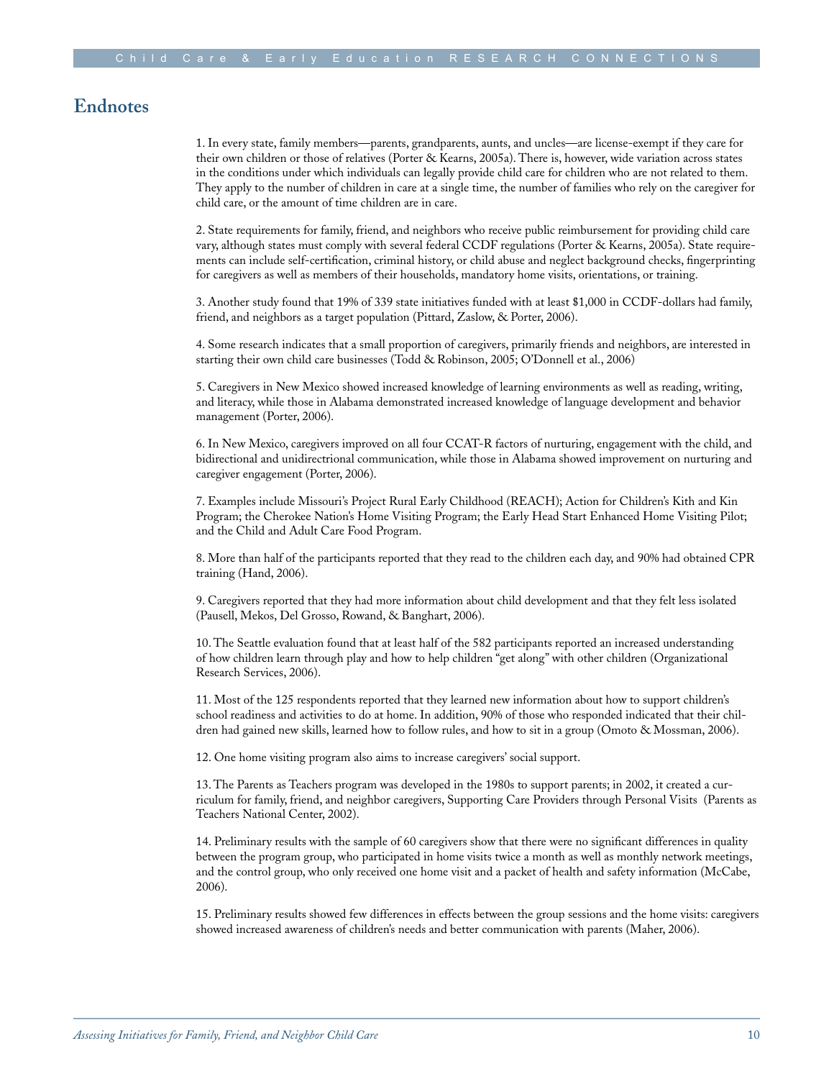#### **Endnotes**

1. In every state, family members—parents, grandparents, aunts, and uncles—are license-exempt if they care for their own children or those of relatives (Porter & Kearns, 2005a). There is, however, wide variation across states in the conditions under which individuals can legally provide child care for children who are not related to them. They apply to the number of children in care at a single time, the number of families who rely on the caregiver for child care, or the amount of time children are in care.

2. State requirements for family, friend, and neighbors who receive public reimbursement for providing child care vary, although states must comply with several federal CCDF regulations (Porter & Kearns, 2005a). State requirements can include self-certification, criminal history, or child abuse and neglect background checks, fingerprinting for caregivers as well as members of their households, mandatory home visits, orientations, or training.

3. Another study found that 19% of 339 state initiatives funded with at least \$1,000 in CCDF-dollars had family, friend, and neighbors as a target population (Pittard, Zaslow, & Porter, 2006).

4. Some research indicates that a small proportion of caregivers, primarily friends and neighbors, are interested in starting their own child care businesses (Todd & Robinson, 2005; O'Donnell et al., 2006)

5. Caregivers in New Mexico showed increased knowledge of learning environments as well as reading, writing, and literacy, while those in Alabama demonstrated increased knowledge of language development and behavior management (Porter, 2006).

6. In New Mexico, caregivers improved on all four CCAT-R factors of nurturing, engagement with the child, and bidirectional and unidirectrional communication, while those in Alabama showed improvement on nurturing and caregiver engagement (Porter, 2006).

7. Examples include Missouri's Project Rural Early Childhood (REACH); Action for Children's Kith and Kin Program; the Cherokee Nation's Home Visiting Program; the Early Head Start Enhanced Home Visiting Pilot; and the Child and Adult Care Food Program.

8. More than half of the participants reported that they read to the children each day, and 90% had obtained CPR training (Hand, 2006).

9. Caregivers reported that they had more information about child development and that they felt less isolated (Pausell, Mekos, Del Grosso, Rowand, & Banghart, 2006).

10. The Seattle evaluation found that at least half of the 582 participants reported an increased understanding of how children learn through play and how to help children "get along" with other children (Organizational Research Services, 2006).

11. Most of the 125 respondents reported that they learned new information about how to support children's school readiness and activities to do at home. In addition, 90% of those who responded indicated that their children had gained new skills, learned how to follow rules, and how to sit in a group (Omoto & Mossman, 2006).

12. One home visiting program also aims to increase caregivers' social support.

13. The Parents as Teachers program was developed in the 1980s to support parents; in 2002, it created a curriculum for family, friend, and neighbor caregivers, Supporting Care Providers through Personal Visits (Parents as Teachers National Center, 2002).

14. Preliminary results with the sample of 60 caregivers show that there were no significant differences in quality between the program group, who participated in home visits twice a month as well as monthly network meetings, and the control group, who only received one home visit and a packet of health and safety information (McCabe, 2006).

15. Preliminary results showed few differences in effects between the group sessions and the home visits: caregivers showed increased awareness of children's needs and better communication with parents (Maher, 2006).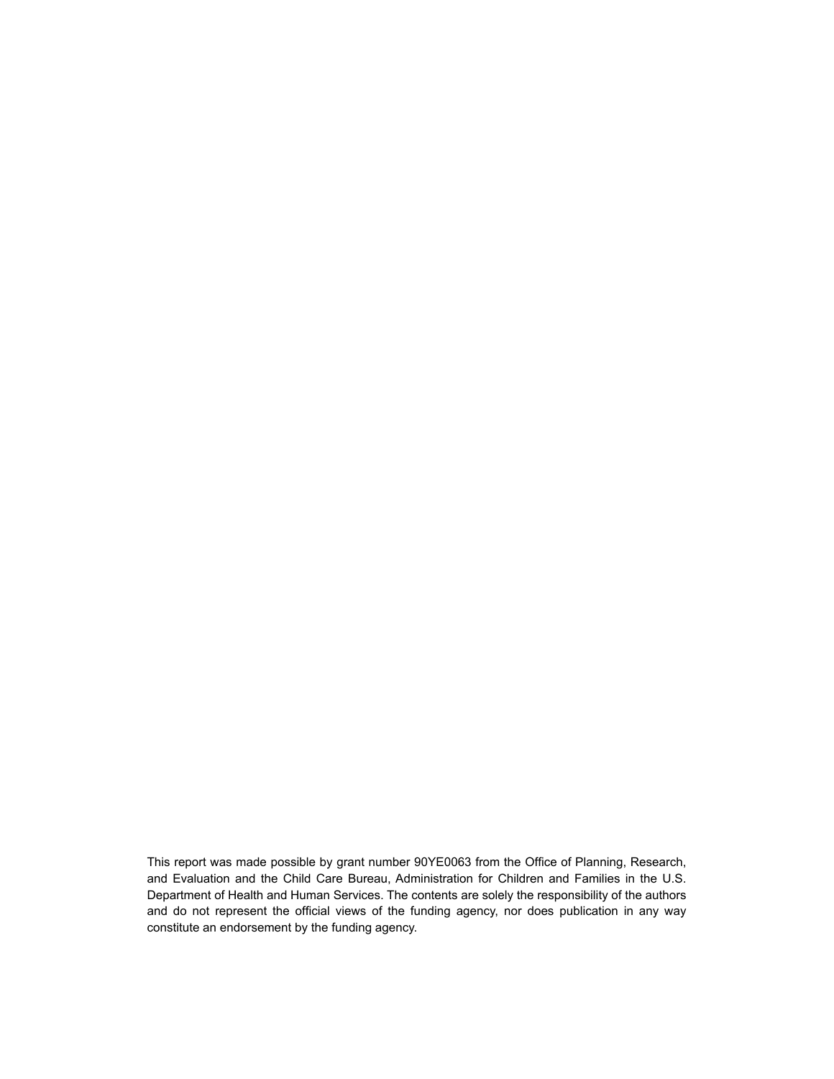This report was made possible by grant number 90YE0063 from the Office of Planning, Research, and Evaluation and the Child Care Bureau, Administration for Children and Families in the U.S. Department of Health and Human Services. The contents are solely the responsibility of the authors and do not represent the official views of the funding agency, nor does publication in any way constitute an endorsement by the funding agency.